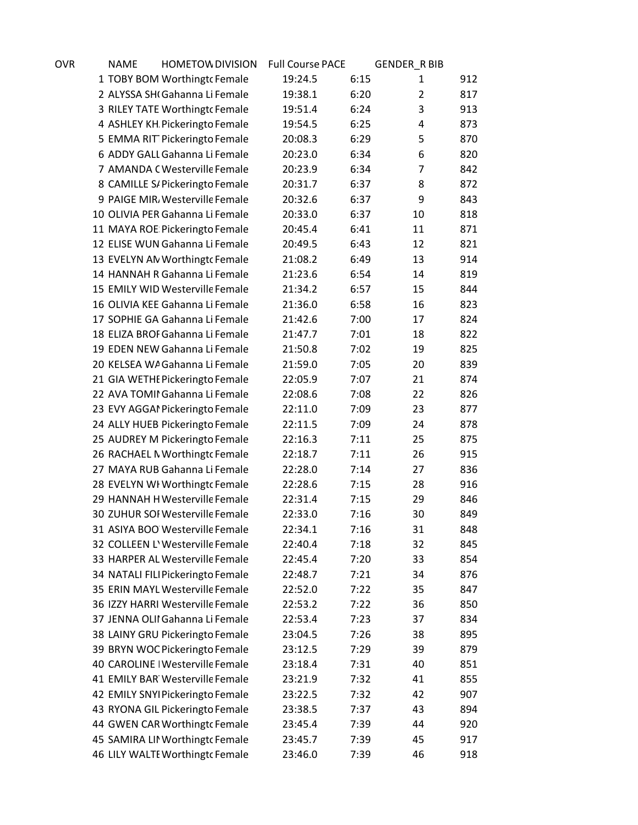| OVR | <b>NAME</b> | <b>HOMETOW DIVISION</b>                                             | <b>Full Course PACE</b> |      | <b>GENDER RBIB</b> |     |
|-----|-------------|---------------------------------------------------------------------|-------------------------|------|--------------------|-----|
|     |             | 1 TOBY BOM Worthingto Female                                        | 19:24.5                 | 6:15 | 1                  | 912 |
|     |             | 2 ALYSSA SHI Gahanna Li Female                                      | 19:38.1                 | 6:20 | $\overline{2}$     | 817 |
|     |             | 3 RILEY TATE Worthingt cFemale                                      | 19:51.4                 | 6:24 | 3                  | 913 |
|     |             | 4 ASHLEY KH Pickeringto Female                                      | 19:54.5                 | 6:25 | 4                  | 873 |
|     |             | 5 EMMA RIT Pickeringto Female                                       | 20:08.3                 | 6:29 | 5                  | 870 |
|     |             | 6 ADDY GALL Gahanna Li Female                                       | 20:23.0                 | 6:34 | 6                  | 820 |
|     |             | 7 AMANDA C Westerville Female                                       | 20:23.9                 | 6:34 | $\overline{7}$     | 842 |
|     |             | 8 CAMILLE S/ Pickeringto Female                                     | 20:31.7                 | 6:37 | 8                  | 872 |
|     |             | 9 PAIGE MIR, Westerville Female                                     | 20:32.6                 | 6:37 | 9                  | 843 |
|     |             | 10 OLIVIA PER Gahanna Li Female                                     | 20:33.0                 | 6:37 | 10                 | 818 |
|     |             | 11 MAYA ROE Pickeringto Female                                      | 20:45.4                 | 6:41 | 11                 | 871 |
|     |             | 12 ELISE WUN Gahanna Li Female                                      | 20:49.5                 | 6:43 | 12                 | 821 |
|     |             | 13 EVELYN AN Worthingt Female                                       | 21:08.2                 | 6:49 | 13                 | 914 |
|     |             | 14 HANNAH R Gahanna Li Female                                       | 21:23.6                 | 6:54 | 14                 | 819 |
|     |             | 15 EMILY WID Westerville Female                                     | 21:34.2                 | 6:57 | 15                 | 844 |
|     |             | 16 OLIVIA KEE Gahanna Li Female                                     | 21:36.0                 | 6:58 | 16                 | 823 |
|     |             | 17 SOPHIE GA Gahanna Li Female                                      | 21:42.6                 | 7:00 | 17                 | 824 |
|     |             | 18 ELIZA BROF Gahanna Li Female                                     | 21:47.7                 | 7:01 | 18                 | 822 |
|     |             | 19 EDEN NEW Gahanna Li Female                                       | 21:50.8                 | 7:02 | 19                 | 825 |
|     |             | 20 KELSEA WA Gahanna Li Female                                      | 21:59.0                 | 7:05 | 20                 | 839 |
|     |             | 21 GIA WETHE Pickeringto Female                                     | 22:05.9                 | 7:07 | 21                 | 874 |
|     |             | 22 AVA TOMII Gahanna Li Female                                      | 22:08.6                 | 7:08 | 22                 | 826 |
|     |             | 23 EVY AGGAI Pickeringto Female                                     | 22:11.0                 | 7:09 | 23                 | 877 |
|     |             | 24 ALLY HUEB Pickeringto Female                                     | 22:11.5                 | 7:09 | 24                 | 878 |
|     |             | 25 AUDREY M Pickeringto Female                                      | 22:16.3                 | 7:11 | 25                 | 875 |
|     |             | 26 RACHAEL N Worthingt cFemale                                      | 22:18.7                 | 7:11 | 26                 | 915 |
|     |             | 27 MAYA RUB Gahanna Li Female                                       | 22:28.0                 | 7:14 | 27                 | 836 |
|     |             | 28 EVELYN WI Worthingt Female                                       | 22:28.6                 | 7:15 | 28                 | 916 |
|     |             | 29 HANNAH H Westerville Female                                      | 22:31.4                 | 7:15 | 29                 | 846 |
|     |             | 30 ZUHUR SOI Westerville Female                                     | 22:33.0                 | 7:16 | 30                 | 849 |
|     |             | 31 ASIYA BOO Westerville Female                                     | 22:34.1                 | 7:16 | 31                 | 848 |
|     |             | 32 COLLEEN L'Westerville Female                                     | 22:40.4                 | 7:18 | 32                 | 845 |
|     |             | 33 HARPER AL Westerville Female                                     | 22:45.4                 | 7:20 | 33                 | 854 |
|     |             | 34 NATALI FILI Pickeringto Female                                   | 22:48.7                 | 7:21 | 34                 | 876 |
|     |             | 35 ERIN MAYL Westerville Female                                     | 22:52.0                 | 7:22 | 35                 | 847 |
|     |             | 36 IZZY HARRI Westerville Female                                    | 22:53.2                 | 7:22 | 36                 | 850 |
|     |             | 37 JENNA OLII Gahanna Li Female                                     | 22:53.4                 | 7:23 | 37                 | 834 |
|     |             | 38 LAINY GRU Pickeringto Female                                     | 23:04.5                 | 7:26 | 38                 | 895 |
|     |             | 39 BRYN WOC Pickeringto Female                                      | 23:12.5                 | 7:29 | 39                 | 879 |
|     |             | 40 CAROLINE   Westerville Female<br>41 EMILY BAR Westerville Female | 23:18.4                 | 7:31 | 40                 | 851 |
|     |             |                                                                     | 23:21.9                 | 7:32 | 41                 | 855 |
|     |             | 42 EMILY SNYI Pickeringto Female                                    | 23:22.5                 | 7:32 | 42                 | 907 |
|     |             | 43 RYONA GIL Pickeringto Female                                     | 23:38.5                 | 7:37 | 43                 | 894 |
|     |             | 44 GWEN CAR Worthingt cFemale                                       | 23:45.4                 | 7:39 | 44                 | 920 |
|     |             | 45 SAMIRA LII Worthingt Female                                      | 23:45.7                 | 7:39 | 45                 | 917 |
|     |             | 46 LILY WALTE Worthingt Female                                      | 23:46.0                 | 7:39 | 46                 | 918 |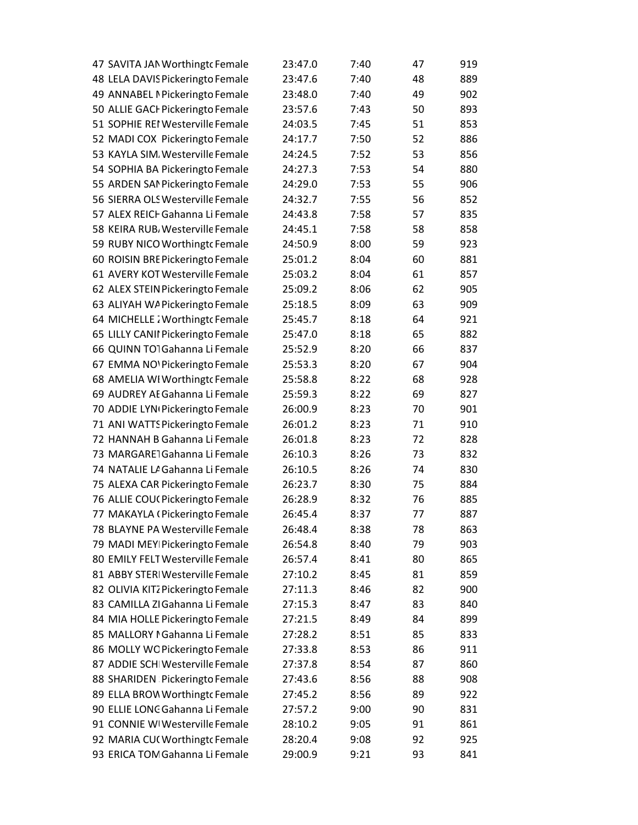| 47 SAVITA JAN Worthingt Female    | 23:47.0 | 7:40 | 47 | 919 |
|-----------------------------------|---------|------|----|-----|
| 48 LELA DAVIS Pickeringto Female  | 23:47.6 | 7:40 | 48 | 889 |
| 49 ANNABEL I Pickeringto Female   | 23:48.0 | 7:40 | 49 | 902 |
| 50 ALLIE GACI Pickeringto Female  | 23:57.6 | 7:43 | 50 | 893 |
| 51 SOPHIE REI Westerville Female  | 24:03.5 | 7:45 | 51 | 853 |
| 52 MADI COX Pickeringto Female    | 24:17.7 | 7:50 | 52 | 886 |
| 53 KAYLA SIM. Westerville Female  | 24:24.5 | 7:52 | 53 | 856 |
| 54 SOPHIA BA Pickeringto Female   | 24:27.3 | 7:53 | 54 | 880 |
| 55 ARDEN SAMPickeringto Female    | 24:29.0 | 7:53 | 55 | 906 |
| 56 SIERRA OLS Westerville Female  | 24:32.7 | 7:55 | 56 | 852 |
| 57 ALEX REICI Gahanna Li Female   | 24:43.8 | 7:58 | 57 | 835 |
| 58 KEIRA RUB, Westerville Female  | 24:45.1 | 7:58 | 58 | 858 |
| 59 RUBY NICO Worthingt cFemale    | 24:50.9 | 8:00 | 59 | 923 |
| 60 ROISIN BRE Pickeringto Female  | 25:01.2 | 8:04 | 60 | 881 |
| 61 AVERY KOT Westerville Female   | 25:03.2 | 8:04 | 61 | 857 |
| 62 ALEX STEIN Pickeringto Female  | 25:09.2 | 8:06 | 62 | 905 |
| 63 ALIYAH WA Pickeringto Female   | 25:18.5 | 8:09 | 63 | 909 |
| 64 MICHELLE : Worthingt Female    | 25:45.7 | 8:18 | 64 | 921 |
| 65 LILLY CANII Pickeringto Female | 25:47.0 | 8:18 | 65 | 882 |
| 66 QUINN TO1Gahanna Li Female     | 25:52.9 | 8:20 | 66 | 837 |
| 67 EMMA NO' Pickeringto Female    | 25:53.3 | 8:20 | 67 | 904 |
| 68 AMELIA WI Worthingt Female     | 25:58.8 | 8:22 | 68 | 928 |
| 69 AUDREY AE Gahanna Li Female    | 25:59.3 | 8:22 | 69 | 827 |
| 70 ADDIE LYN Pickeringto Female   | 26:00.9 | 8:23 | 70 | 901 |
| 71 ANI WATTS Pickeringto Female   | 26:01.2 | 8:23 | 71 | 910 |
| 72 HANNAH B Gahanna Li Female     | 26:01.8 | 8:23 | 72 | 828 |
| 73 MARGARE1Gahanna Li Female      | 26:10.3 | 8:26 | 73 | 832 |
| 74 NATALIE LA Gahanna Li Female   | 26:10.5 | 8:26 | 74 | 830 |
| 75 ALEXA CAR Pickeringto Female   | 26:23.7 | 8:30 | 75 | 884 |
| 76 ALLIE COU(Pickeringto Female   | 26:28.9 | 8:32 | 76 | 885 |
| 77 MAKAYLA (Pickeringto Female    | 26:45.4 | 8:37 | 77 | 887 |
| 78 BLAYNE PA Westerville Female   | 26:48.4 | 8:38 | 78 | 863 |
| 79 MADI MEY Pickeringto Female    | 26:54.8 | 8:40 | 79 | 903 |
| 80 EMILY FELT Westerville Female  | 26:57.4 | 8:41 | 80 | 865 |
| 81 ABBY STERI Westerville Female  | 27:10.2 | 8:45 | 81 | 859 |
| 82 OLIVIA KITZ Pickeringto Female | 27:11.3 | 8:46 | 82 | 900 |
| 83 CAMILLA ZI Gahanna Li Female   | 27:15.3 | 8:47 | 83 | 840 |
| 84 MIA HOLLE Pickeringto Female   | 27:21.5 | 8:49 | 84 | 899 |
| 85 MALLORY I Gahanna Li Female    | 27:28.2 | 8:51 | 85 | 833 |
| 86 MOLLY WC Pickeringto Female    | 27:33.8 | 8:53 | 86 | 911 |
| 87 ADDIE SCHI Westerville Female  | 27:37.8 | 8:54 | 87 | 860 |
| 88 SHARIDEN Pickeringto Female    | 27:43.6 | 8:56 | 88 | 908 |
| 89 ELLA BROW Worthingt cFemale    | 27:45.2 | 8:56 | 89 | 922 |
| 90 ELLIE LONC Gahanna Li Female   | 27:57.2 | 9:00 | 90 | 831 |
| 91 CONNIE WIWesterville Female    | 28:10.2 | 9:05 | 91 | 861 |
| 92 MARIA CU(Worthingt Female      | 28:20.4 | 9:08 | 92 | 925 |
| 93 ERICA TOM Gahanna Li Female    | 29:00.9 | 9:21 | 93 | 841 |